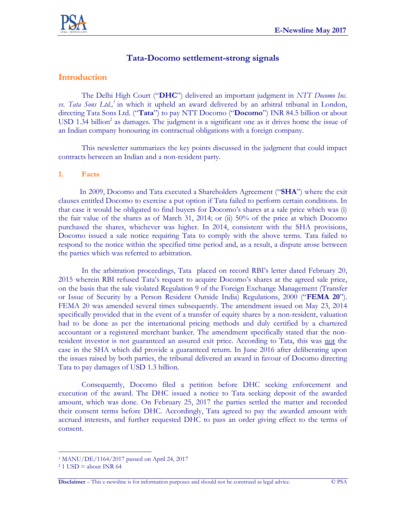

# **Tata-Docomo settlement-strong signals**

### **Introduction**

The Delhi High Court ("**DHC**") delivered an important judgment in *NTT Docomo Inc. vs. Tata Sons Ltd.,<sup>1</sup>* in which it upheld an award delivered by an arbitral tribunal in London, directing Tata Sons Ltd. ("**Tata**") to pay NTT Docomo ("**Docomo**") INR 84.5 billion or about  $\text{USD 1.34 billion}^2$  as damages. The judgment is a significant one as it drives home the issue of an Indian company honouring its contractual obligations with a foreign company.

This newsletter summarizes the key points discussed in the judgment that could impact contracts between an Indian and a non-resident party.

#### **1. Facts**

 In 2009, Docomo and Tata executed a Shareholders Agreement ("**SHA**") where the exit clauses entitled Docomo to exercise a put option if Tata failed to perform certain conditions. In that case it would be obligated to find buyers for Docomo's shares at a sale price which was (i) the fair value of the shares as of March 31, 2014; or (ii) 50% of the price at which Docomo purchased the shares, whichever was higher. In 2014, consistent with the SHA provisions, Docomo issued a sale notice requiring Tata to comply with the above terms. Tata failed to respond to the notice within the specified time period and, as a result, a dispute arose between the parties which was referred to arbitration.

In the arbitration proceedings, Tata placed on record RBI's letter dated February 20, 2015 wherein RBI refused Tata's request to acquire Docomo's shares at the agreed sale price, on the basis that the sale violated Regulation 9 of the Foreign Exchange Management (Transfer or Issue of Security by a Person Resident Outside India) Regulations, 2000 ("**FEMA 20**"). FEMA 20 was amended several times subsequently. The amendment issued on May 23, 2014 specifically provided that in the event of a transfer of equity shares by a non-resident, valuation had to be done as per the international pricing methods and duly certified by a chartered accountant or a registered merchant banker. The amendment specifically stated that the nonresident investor is not guaranteed an assured exit price. According to Tata, this was not the case in the SHA which did provide a guaranteed return. In June 2016 after deliberating upon the issues raised by both parties, the tribunal delivered an award in favour of Docomo directing Tata to pay damages of USD 1.3 billion.

Consequently, Docomo filed a petition before DHC seeking enforcement and execution of the award. The DHC issued a notice to Tata seeking deposit of the awarded amount, which was done. On February 25, 2017 the parties settled the matter and recorded their consent terms before DHC. Accordingly, Tata agreed to pay the awarded amount with accrued interests, and further requested DHC to pass an order giving effect to the terms of consent.

 $\overline{a}$ 

<sup>1</sup> MANU/DE/1164/2017 passed on April 24, 2017

 $2$  1 USD = about INR 64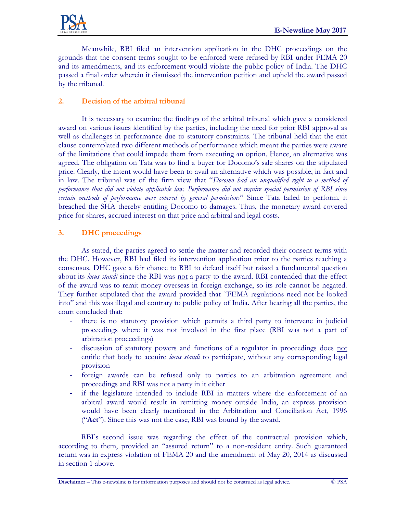Meanwhile, RBI filed an intervention application in the DHC proceedings on the grounds that the consent terms sought to be enforced were refused by RBI under FEMA 20 and its amendments, and its enforcement would violate the public policy of India. The DHC passed a final order wherein it dismissed the intervention petition and upheld the award passed by the tribunal.

## **2. Decision of the arbitral tribunal**

It is necessary to examine the findings of the arbitral tribunal which gave a considered award on various issues identified by the parties, including the need for prior RBI approval as well as challenges in performance due to statutory constraints. The tribunal held that the exit clause contemplated two different methods of performance which meant the parties were aware of the limitations that could impede them from executing an option. Hence, an alternative was agreed. The obligation on Tata was to find a buyer for Docomo's sale shares on the stipulated price. Clearly, the intent would have been to avail an alternative which was possible, in fact and in law. The tribunal was of the firm view that "*Docomo had an unqualified right to a method of performance that did not violate applicable law. Performance did not require special permission of RBI since certain methods of performance were covered by general permissions*" Since Tata failed to perform, it breached the SHA thereby entitling Docomo to damages. Thus, the monetary award covered price for shares, accrued interest on that price and arbitral and legal costs.

## **3. DHC proceedings**

As stated, the parties agreed to settle the matter and recorded their consent terms with the DHC. However, RBI had filed its intervention application prior to the parties reaching a consensus. DHC gave a fair chance to RBI to defend itself but raised a fundamental question about its *locus standi* since the RBI was not a party to the award. RBI contended that the effect of the award was to remit money overseas in foreign exchange, so its role cannot be negated. They further stipulated that the award provided that "FEMA regulations need not be looked into" and this was illegal and contrary to public policy of India. After hearing all the parties, the court concluded that:

- there is no statutory provision which permits a third party to intervene in judicial proceedings where it was not involved in the first place (RBI was not a part of arbitration proceedings)
- discussion of statutory powers and functions of a regulator in proceedings does not entitle that body to acquire *locus standi* to participate, without any corresponding legal provision
- foreign awards can be refused only to parties to an arbitration agreement and proceedings and RBI was not a party in it either
- if the legislature intended to include RBI in matters where the enforcement of an arbitral award would result in remitting money outside India, an express provision would have been clearly mentioned in the Arbitration and Conciliation Act, 1996 ("**Act**"). Since this was not the case, RBI was bound by the award.

RBI's second issue was regarding the effect of the contractual provision which, according to them, provided an "assured return" to a non-resident entity. Such guaranteed return was in express violation of FEMA 20 and the amendment of May 20, 2014 as discussed in section 1 above.